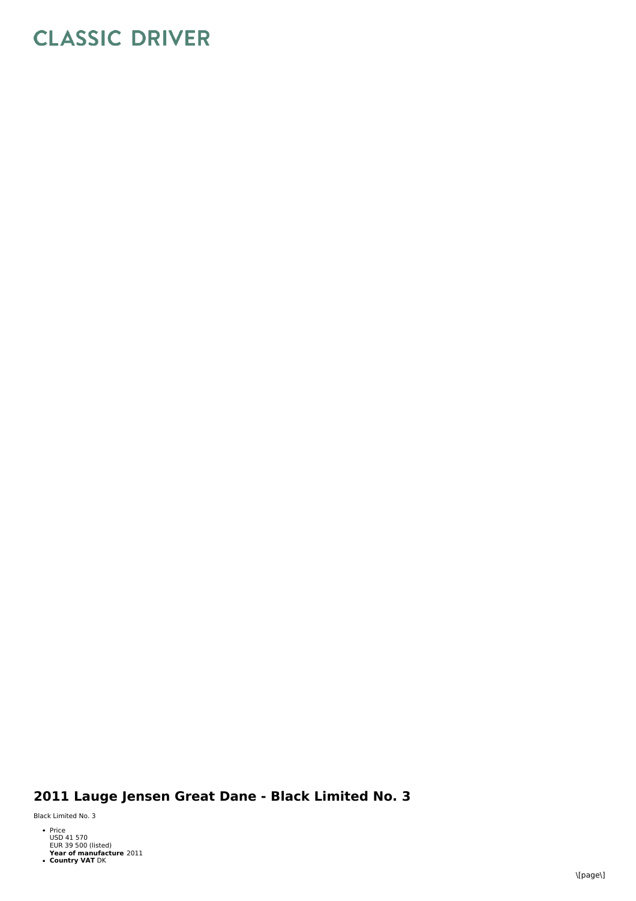## **CLASSIC DRIVER**

## 2011 Lauge Jensen Great Dane - Black Limited No. 3

Black Limited No. 3

- Price<br>USD 41 570<br>EUR 39 500 (listed)<br>Year of manufacture 2011<br>• Country VAT DK
-